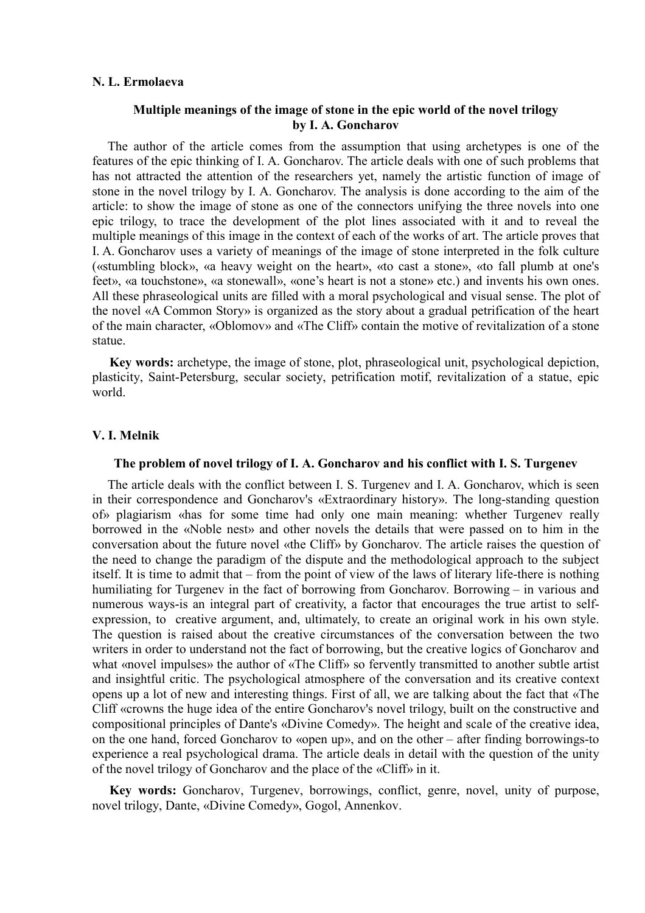### **N. L. Ermolaeva**

# **Multiple meanings of the image of stone in the epic world of the novel trilogy by I. A. Goncharov**

The author of the article comes from the assumption that using archetypes is one of the features of the epic thinking of I. A. Goncharov. The article deals with one of such problems that has not attracted the attention of the researchers yet, namely the artistic function of image of stone in the novel trilogy by I. A. Goncharov. The analysis is done according to the aim of the article: to show the image of stone as one of the connectors unifying the three novels into one epic trilogy, to trace the development of the plot lines associated with it and to reveal the multiple meanings of this image in the context of each of the works of art. The article proves that I. A. Goncharov uses a variety of meanings of the image of stone interpreted in the folk culture («stumbling block», «a heavy weight on the heart», «to cast a stone», «to fall plumb at one's feet», «a touchstone», «a stonewall», «one's heart is not a stone» etc.) and invents his own ones. All these phraseological units are filled with a moral psychological and visual sense. The plot of the novel «A Common Story» is organized as the story about a gradual petrification of the heart of the main character, «Oblomov» and «The Cliff» contain the motive of revitalization of a stone statue.

**Key words:** archetype, the image of stone, plot, phraseological unit, psychological depiction, plasticity, Saint-Petersburg, secular society, petrification motif, revitalization of a statue, epic world.

### **V. I. Melnik**

### **The problem of novel trilogy of I. A. Goncharov and his conflict with I. S. Turgenev**

The article deals with the conflict between I. S. Turgenev and I. A. Goncharov, which is seen in their correspondence and Goncharov's «Extraordinary history». The long-standing question of» plagiarism «has for some time had only one main meaning: whether Turgenev really borrowed in the «Noble nest» and other novels the details that were passed on to him in the conversation about the future novel «the Cliff» by Goncharov. The article raises the question of the need to change the paradigm of the dispute and the methodological approach to the subject itself. It is time to admit that – from the point of view of the laws of literary life-there is nothing humiliating for Turgenev in the fact of borrowing from Goncharov. Borrowing – in various and numerous ways-is an integral part of creativity, a factor that encourages the true artist to selfexpression, to creative argument, and, ultimately, to create an original work in his own style. The question is raised about the creative circumstances of the conversation between the two writers in order to understand not the fact of borrowing, but the creative logics of Goncharov and what «novel impulses» the author of «The Cliff» so fervently transmitted to another subtle artist and insightful critic. The psychological atmosphere of the conversation and its creative context opens up a lot of new and interesting things. First of all, we are talking about the fact that «The Cliff «crowns the huge idea of the entire Goncharov's novel trilogy, built on the constructive and compositional principles of Dante's «Divine Comedy». The height and scale of the creative idea, on the one hand, forced Goncharov to «open up», and on the other – after finding borrowings-to experience a real psychological drama. The article deals in detail with the question of the unity of the novel trilogy of Goncharov and the place of the «Cliff» in it.

**Key words:** Goncharov, Turgenev, borrowings, conflict, genre, novel, unity of purpose, novel trilogy, Dante, «Divine Comedy», Gogol, Annenkov.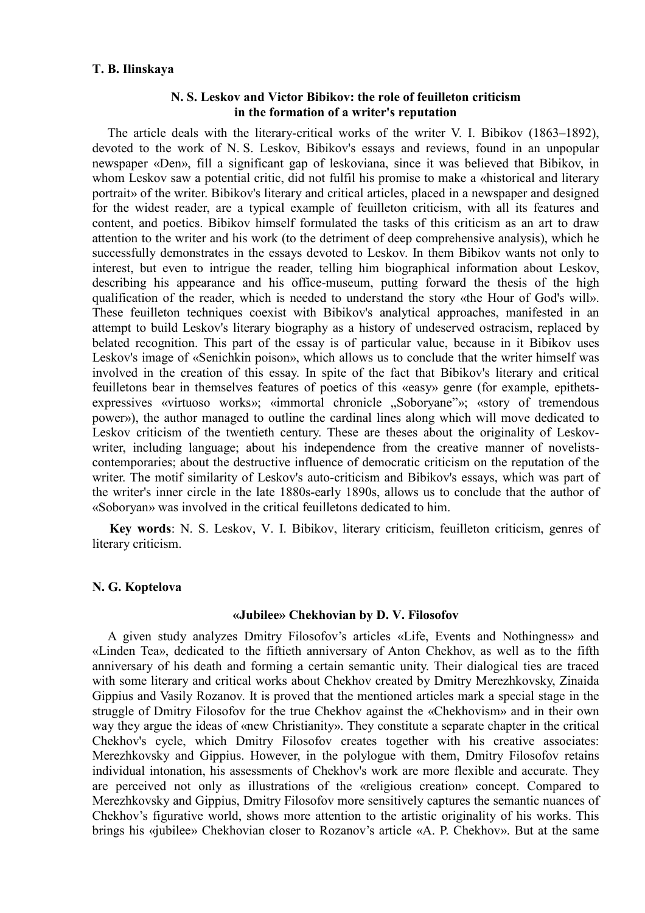### **T. B. Ilinskaya**

## **N. S. Leskov and Victor Bibikov: the role of feuilleton criticism in the formation of a writer's reputation**

The article deals with the literary-critical works of the writer V. I. Bibikov (1863–1892), devoted to the work of N. S. Leskov, Bibikov's essays and reviews, found in an unpopular newspaper «Den», fill a significant gap of leskoviana, since it was believed that Bibikov, in whom Leskov saw a potential critic, did not fulfil his promise to make a «historical and literary portrait» of the writer. Bibikov's literary and critical articles, placed in a newspaper and designed for the widest reader, are a typical example of feuilleton criticism, with all its features and content, and poetics. Bibikov himself formulated the tasks of this criticism as an art to draw attention to the writer and his work (to the detriment of deep comprehensive analysis), which he successfully demonstrates in the essays devoted to Leskov. In them Bibikov wants not only to interest, but even to intrigue the reader, telling him biographical information about Leskov, describing his appearance and his office-museum, putting forward the thesis of the high qualification of the reader, which is needed to understand the story «the Hour of God's will». These feuilleton techniques coexist with Bibikov's analytical approaches, manifested in an attempt to build Leskov's literary biography as a history of undeserved ostracism, replaced by belated recognition. This part of the essay is of particular value, because in it Bibikov uses Leskov's image of «Senichkin poison», which allows us to conclude that the writer himself was involved in the creation of this essay. In spite of the fact that Bibikov's literary and critical feuilletons bear in themselves features of poetics of this «easy» genre (for example, epithetsexpressives «virtuoso works»; «immortal chronicle "Soboryane"»; «story of tremendous power»), the author managed to outline the cardinal lines along which will move dedicated to Leskov criticism of the twentieth century. These are theses about the originality of Leskovwriter, including language; about his independence from the creative manner of novelistscontemporaries; about the destructive influence of democratic criticism on the reputation of the writer. The motif similarity of Leskov's auto-criticism and Bibikov's essays, which was part of the writer's inner circle in the late 1880s-early 1890s, allows us to conclude that the author of «Soboryan» was involved in the critical feuilletons dedicated to him.

**Key words**: N. S. Leskov, V. I. Bibikov, literary criticism, feuilleton criticism, genres of literary criticism.

# **N. G. Koptelova**

## **«Jubilee» Chekhovian by D. V. Filosofov**

A given study analyzes Dmitry Filosofov's articles «Life, Events and Nothingness» and «Linden Tea», dedicated to the fiftieth anniversary of Anton Chekhov, as well as to the fifth anniversary of his death and forming a certain semantic unity. Their dialogical ties are traced with some literary and critical works about Chekhov created by Dmitry Merezhkovsky, Zinaida Gippius and Vasily Rozanov. It is proved that the mentioned articles mark a special stage in the struggle of Dmitry Filosofov for the true Chekhov against the «Chekhovism» and in their own way they argue the ideas of «new Christianity». They constitute a separate chapter in the critical Chekhov's cycle, which Dmitry Filosofov creates together with his creative associates: Merezhkovsky and Gippius. However, in the polylogue with them, Dmitry Filosofov retains individual intonation, his assessments of Chekhov's work are more flexible and accurate. They are perceived not only as illustrations of the «religious creation» concept. Compared to Merezhkovsky and Gippius, Dmitry Filosofov more sensitively captures the semantic nuances of Chekhov's figurative world, shows more attention to the artistic originality of his works. This brings his «jubilee» Chekhovian closer to Rozanov's article «A. P. Chekhov». But at the same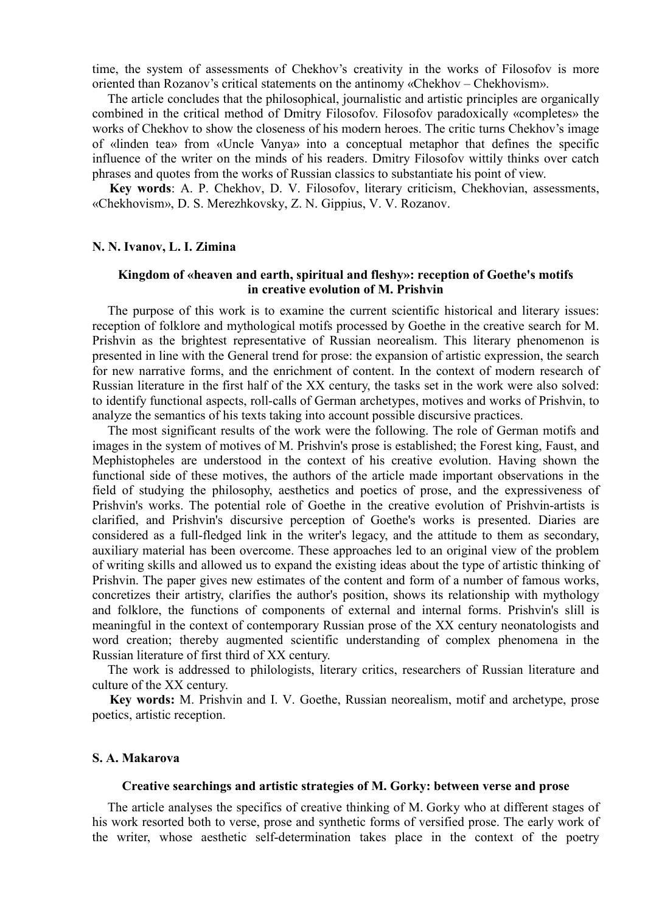time, the system of assessments of Chekhov's creativity in the works of Filosofov is more oriented than Rozanov's critical statements on the antinomy «Chekhov – Chekhovism».

The article concludes that the philosophical, journalistic and artistic principles are organically combined in the critical method of Dmitry Filosofov. Filosofov paradoxically «completes» the works of Chekhov to show the closeness of his modern heroes. The critic turns Chekhov's image of «linden tea» from «Uncle Vanya» into a conceptual metaphor that defines the specific influence of the writer on the minds of his readers. Dmitry Filosofov wittily thinks over catch phrases and quotes from the works of Russian classics to substantiate his point of view.

**Key words**: A. P. Chekhov, D. V. Filosofov, literary criticism, Chekhovian, assessments, «Chekhovism», D. S. Merezhkovsky, Z. N. Gippius, V. V. Rozanov.

## **N. N. Ivanov, L. I. Zimina**

## **Kingdom of «heaven and earth, spiritual and fleshy»: reception of Goethe's motifs in creative evolution of M. Prishvin**

The purpose of this work is to examine the current scientific historical and literary issues: reception of folklore and mythological motifs processed by Goethe in the creative search for M. Prishvin as the brightest representative of Russian neorealism. This literary phenomenon is presented in line with the General trend for prose: the expansion of artistic expression, the search for new narrative forms, and the enrichment of content. In the context of modern research of Russian literature in the first half of the XX century, the tasks set in the work were also solved: to identify functional aspects, roll-calls of German archetypes, motives and works of Prishvin, to analyze the semantics of his texts taking into account possible discursive practices.

The most significant results of the work were the following. The role of German motifs and images in the system of motives of M. Prishvin's prose is established; the Forest king, Faust, and Mephistopheles are understood in the context of his creative evolution. Having shown the functional side of these motives, the authors of the article made important observations in the field of studying the philosophy, aesthetics and poetics of prose, and the expressiveness of Prishvin's works. The potential role of Goethe in the creative evolution of Prishvin-artists is clarified, and Prishvin's discursive perception of Goethe's works is presented. Diaries are considered as a full-fledged link in the writer's legacy, and the attitude to them as secondary, auxiliary material has been overcome. These approaches led to an original view of the problem of writing skills and allowed us to expand the existing ideas about the type of artistic thinking of Prishvin. The paper gives new estimates of the content and form of a number of famous works, concretizes their artistry, clarifies the author's position, shows its relationship with mythology and folklore, the functions of components of external and internal forms. Prishvin's slill is meaningful in the context of contemporary Russian prose of the XX century neonatologists and word creation; thereby augmented scientific understanding of complex phenomena in the Russian literature of first third of XX century.

The work is addressed to philologists, literary critics, researchers of Russian literature and culture of the XX century.

**Key words:** M. Prishvin and I. V. Goethe, Russian neorealism, motif and archetype, prose poetics, artistic reception.

## **S. A. Makarova**

### **Creative searchings and artistic strategies of M. Gorky: between verse and prose**

The article analyses the specifics of creative thinking of M. Gorky who at different stages of his work resorted both to verse, prose and synthetic forms of versified prose. The early work of the writer, whose aesthetic self-determination takes place in the context of the poetry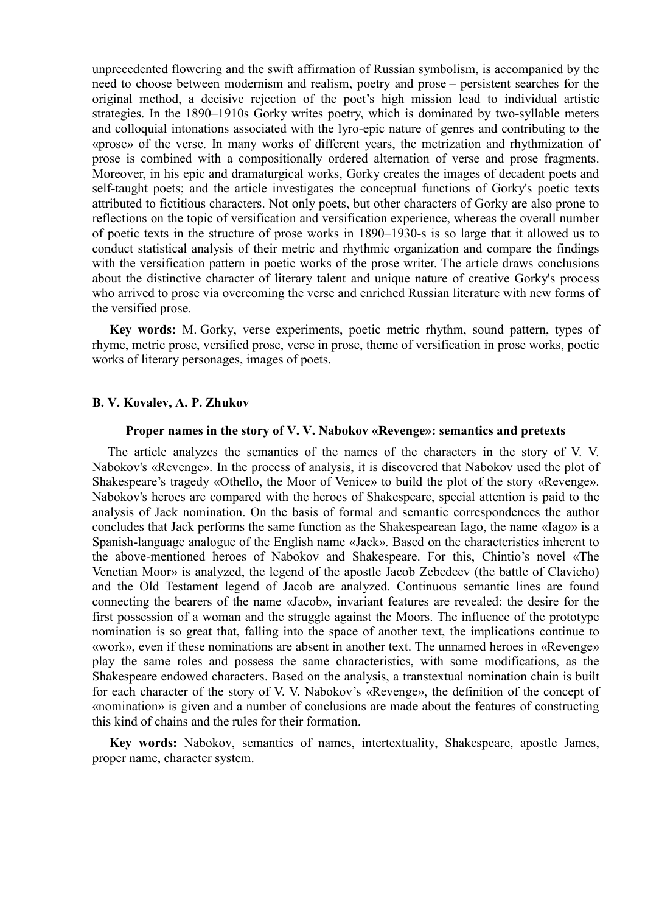unprecedented flowering and the swift affirmation of Russian symbolism, is accompanied by the need to choose between modernism and realism, poetry and prose – persistent searches for the original method, a decisive rejection of the poet's high mission lead to individual artistic strategies. In the 1890–1910s Gorky writes poetry, which is dominated by two-syllable meters and colloquial intonations associated with the lyro-epic nature of genres and contributing to the «prose» of the verse. In many works of different years, the metrization and rhythmization of prose is combined with a compositionally ordered alternation of verse and prose fragments. Moreover, in his epic and dramaturgical works, Gorky creates the images of decadent poets and self-taught poets; and the article investigates the conceptual functions of Gorky's poetic texts attributed to fictitious characters. Not only poets, but other characters of Gorky are also prone to reflections on the topic of versification and versification experience, whereas the overall number of poetic texts in the structure of prose works in 1890–1930-s is so large that it allowed us to conduct statistical analysis of their metric and rhythmic organization and compare the findings with the versification pattern in poetic works of the prose writer. The article draws conclusions about the distinctive character of literary talent and unique nature of creative Gorky's process who arrived to prose via overcoming the verse and enriched Russian literature with new forms of the versified prose.

**Key words:** M. Gorky, verse experiments, poetic metric rhythm, sound pattern, types of rhyme, metric prose, versified prose, verse in prose, theme of versification in prose works, poetic works of literary personages, images of poets.

## **B. V. Kovalev, A. P. Zhukov**

#### **Proper names in the story of V. V. Nabokov «Revenge»: semantics and pretexts**

The article analyzes the semantics of the names of the characters in the story of V. V. Nabokov's «Revenge». In the process of analysis, it is discovered that Nabokov used the plot of Shakespeare's tragedy «Othello, the Moor of Venice» to build the plot of the story «Revenge». Nabokov's heroes are compared with the heroes of Shakespeare, special attention is paid to the analysis of Jack nomination. Оn the basis of formal and semantic correspondences the author concludes that Jack performs the same function as the Shakespearean Iago, the name «Iago» is a Spanish-language analogue of the English name «Jack». Based on the characteristics inherent to the above-mentioned heroes of Nabokov and Shakespeare. For this, Chintio's novel «The Venetian Moor» is analyzed, the legend of the apostle Jacob Zebedeev (the battle of Clavicho) and the Old Testament legend of Jacob are analyzed. Continuous semantic lines are found connecting the bearers of the name «Jacob», invariant features are revealed: the desire for the first possession of a woman and the struggle against the Moors. The influence of the prototype nomination is so great that, falling into the space of another text, the implications continue to «work», even if these nominations are absent in another text. The unnamed heroes in «Revenge» play the same roles and possess the same characteristics, with some modifications, as the Shakespeare endowed characters. Based on the analysis, a transtextual nomination chain is built for each character of the story of V. V. Nabokov's «Revenge», the definition of the concept of «nomination» is given and a number of conclusions are made about the features of constructing this kind of chains and the rules for their formation.

**Key words:** Nabokov, semantics of names, intertextuality, Shakespeare, apostle James, proper name, character system.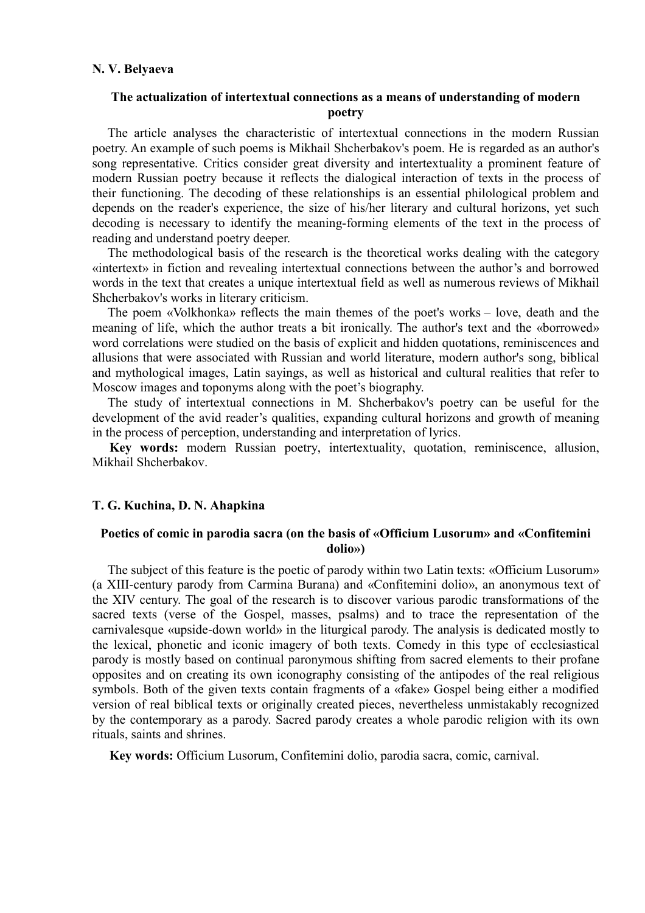# **The actualization of intertextual connections as a means of understanding of modern poetry**

The article analyses the characteristic of intertextual connections in the modern Russian poetry. An example of such poems is Mikhail Shcherbakov's poem. He is regarded as an author's song representative. Critics consider great diversity and intertextuality a prominent feature of modern Russian poetry because it reflects the dialogical interaction of texts in the process of their functioning. The decoding of these relationships is an essential philological problem and depends on the reader's experience, the size of his/her literary and cultural horizons, yet such decoding is necessary to identify the meaning-forming elements of the text in the process of reading and understand poetry deeper.

The methodological basis of the research is the theoretical works dealing with the category «intertext» in fiction and revealing intertextual connections between the author's and borrowed words in the text that creates a unique intertextual field as well as numerous reviews of Mikhail Shcherbakov's works in literary criticism.

The poem «Volkhonka» reflects the main themes of the poet's works – love, death and the meaning of life, which the author treats a bit ironically. The author's text and the «borrowed» word correlations were studied on the basis of explicit and hidden quotations, reminiscences and allusions that were associated with Russian and world literature, modern author's song, biblical and mythological images, Latin sayings, as well as historical and cultural realities that refer to Moscow images and toponyms along with the poet's biography.

The study of intertextual connections in M. Shcherbakov's poetry can be useful for the development of the avid reader's qualities, expanding cultural horizons and growth of meaning in the process of perception, understanding and interpretation of lyrics.

**Key words:** modern Russian poetry, intertextuality, quotation, reminiscence, allusion, Mikhail Shcherbakov.

## **T. G. Kuchina, D. N. Ahapkina**

## **Poetics of comic in parodia sacra (on the basis of «Officium Lusorum» and «Confitemini dolio»)**

The subject of this feature is the poetic of parody within two Latin texts: «Officium Lusorum» (a XIII-century parody from Carmina Burana) and «Confitemini dolio», an anonymous text of the XIV century. The goal of the research is to discover various parodic transformations of the sacred texts (verse of the Gospel, masses, psalms) and to trace the representation of the carnivalesque «upside-down world» in the liturgical parody. The analysis is dedicated mostly to the lexical, phonetic and iconic imagery of both texts. Comedy in this type of ecclesiastical parody is mostly based on continual paronymous shifting from sacred elements to their profane opposites and on creating its own iconography consisting of the antipodes of the real religious symbols. Both of the given texts contain fragments of a «fake» Gospel being either a modified version of real biblical texts or originally created pieces, nevertheless unmistakably recognized by the contemporary as a parody. Sacred parody creates a whole parodic religion with its own rituals, saints and shrines.

**Key words:** Officium Lusorum, Confitemini dolio, parodia sacra, comic, carnival.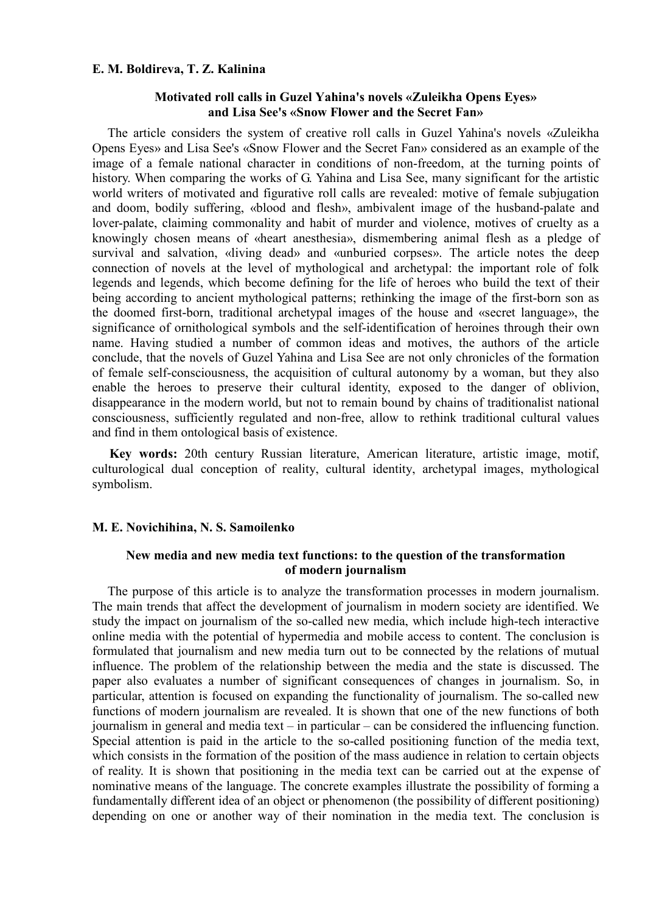## **E. M. Boldireva, T. Z. Kalinina**

## **Motivated roll calls in Guzel Yahina's novels «Zuleikha Opens Eyes» and Lisa See's «Snow Flower and the Secret Fan»**

The article considers the system of creative roll calls in Guzel Yahina's novels «Zuleikha Opens Eyes» and Lisa See's «Snow Flower and the Secret Fan» considered as an example of the image of a female national character in conditions of non-freedom, at the turning points of history. When comparing the works of G. Yahina and Lisa See, many significant for the artistic world writers of motivated and figurative roll calls are revealed: motive of female subjugation and doom, bodily suffering, «blood and flesh», ambivalent image of the husband-palate and lover-palate, claiming commonality and habit of murder and violence, motives of cruelty as a knowingly chosen means of «heart anesthesia», dismembering animal flesh as a pledge of survival and salvation, «living dead» and «unburied corpses». The article notes the deep connection of novels at the level of mythological and archetypal: the important role of folk legends and legends, which become defining for the life of heroes who build the text of their being according to ancient mythological patterns; rethinking the image of the first-born son as the doomed first-born, traditional archetypal images of the house and «secret language», the significance of ornithological symbols and the self-identification of heroines through their own name. Having studied a number of common ideas and motives, the authors of the article conclude, that the novels of Guzel Yahina and Lisa See are not only chronicles of the formation of female self-consciousness, the acquisition of cultural autonomy by a woman, but they also enable the heroes to preserve their cultural identity, exposed to the danger of oblivion, disappearance in the modern world, but not to remain bound by chains of traditionalist national consciousness, sufficiently regulated and non-free, allow to rethink traditional cultural values and find in them ontological basis of existence.

**Key words:** 20th century Russian literature, American literature, artistic image, motif, culturological dual conception of reality, cultural identity, archetypal images, mythological symbolism.

# **M. E. Novichihina, N. S. Samoilenko**

# **New media and new media text functions: to the question of the transformation of modern journalism**

The purpose of this article is to analyze the transformation processes in modern journalism. The main trends that affect the development of journalism in modern society are identified. We study the impact on journalism of the so-called new media, which include high-tech interactive online media with the potential of hypermedia and mobile access to content. The conclusion is formulated that journalism and new media turn out to be connected by the relations of mutual influence. The problem of the relationship between the media and the state is discussed. The paper also evaluates a number of significant consequences of changes in journalism. So, in particular, attention is focused on expanding the functionality of journalism. The so-called new functions of modern journalism are revealed. It is shown that one of the new functions of both journalism in general and media text – in particular – can be considered the influencing function. Special attention is paid in the article to the so-called positioning function of the media text, which consists in the formation of the position of the mass audience in relation to certain objects of reality. It is shown that positioning in the media text can be carried out at the expense of nominative means of the language. The concrete examples illustrate the possibility of forming a fundamentally different idea of an object or phenomenon (the possibility of different positioning) depending on one or another way of their nomination in the media text. The conclusion is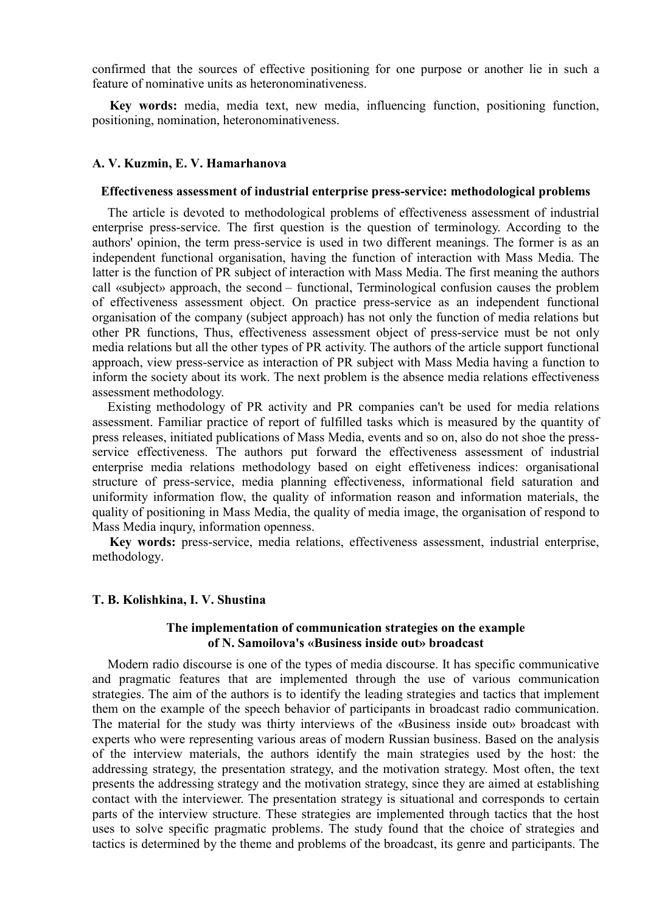confirmed that the sources of effective positioning for one purpose or another lie in such a feature of nominative units as heteronominativeness.

**Key words:** media, media text, new media, influencing function, positioning function, positioning, nomination, heteronominativeness.

## **A. V. Kuzmin, E. V. Hamarhanova**

### **Effectiveness assessment of industrial enterprise press-service: methodological problems**

The article is devoted to methodological problems of effectiveness assessment of industrial enterprise press-service. The first question is the question of terminology. According to the authors' opinion, the term press-service is used in two different meanings. The former is as an independent functional organisation, having the function of interaction with Mass Media. The latter is the function of PR subject of interaction with Mass Media. The first meaning the authors call «subject» approach, the second – functional, Terminological confusion causes the problem of effectiveness assessment object. On practice press-service as an independent functional organisation of the company (subject approach) has not only the function of media relations but other PR functions, Thus, effectiveness assessment object of press-service must be not only media relations but all the other types of PR activity. The authors of the article support functional approach, view press-service as interaction of PR subject with Mass Media having a function to inform the society about its work. The next problem is the absence media relations effectiveness assessment methodology.

Existing methodology of PR activity and PR companies can't be used for media relations assessment. Familiar practice of report of fulfilled tasks which is measured by the quantity of press releases, initiated publications of Mass Media, events and so on, also do not shoe the pressservice effectiveness. The authors put forward the effectiveness assessment of industrial enterprise media relations methodology based on eight effetiveness indices: organisational structure of press-service, media planning effectiveness, informational field saturation and uniformity information flow, the quality of information reason and information materials, the quality of positioning in Mass Media, the quality of media image, the organisation of respond to Mass Media inqury, information openness.

**Key words:** press-service, media relations, effectiveness assessment, industrial enterprise, methodology.

#### **T. B. Kolishkina, I. V. Shustina**

## **The implementation of communication strategies on the example of N. Samoilova's «Business inside out» broadcast**

Modern radio discourse is one of the types of media discourse. It has specific communicative and pragmatic features that are implemented through the use of various communication strategies. The aim of the authors is to identify the leading strategies and tactics that implement them on the example of the speech behavior of participants in broadcast radio communication. The material for the study was thirty interviews of the «Business inside out» broadcast with experts who were representing various areas of modern Russian business. Based on the analysis of the interview materials, the authors identify the main strategies used by the host: the addressing strategy, the presentation strategy, and the motivation strategy. Most often, the text presents the addressing strategy and the motivation strategy, since they are aimed at establishing contact with the interviewer. The presentation strategy is situational and corresponds to certain parts of the interview structure. These strategies are implemented through tactics that the host uses to solve specific pragmatic problems. The study found that the choice of strategies and tactics is determined by the theme and problems of the broadcast, its genre and participants. The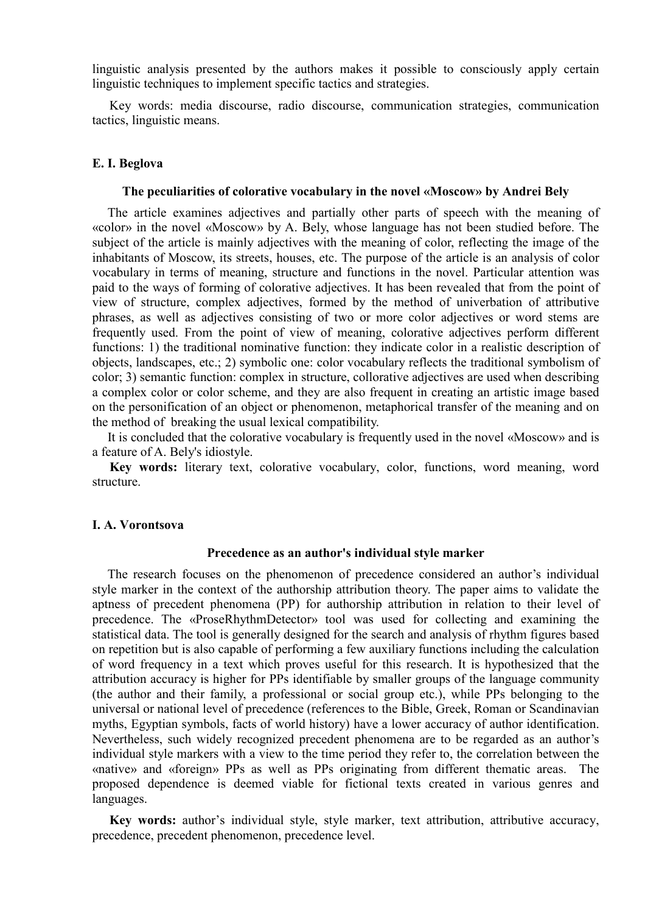linguistic analysis presented by the authors makes it possible to consciously apply certain linguistic techniques to implement specific tactics and strategies.

Key words: media discourse, radio discourse, communication strategies, communication tactics, linguistic means.

## **E. I. Beglova**

#### **The peculiarities of colorative vocabulary in the novel «Moscow» by Andrei Bely**

The article examines adjectives and partially other parts of speech with the meaning of «color» in the novel «Moscow» by A. Bely, whose language has not been studied before. The subject of the article is mainly adjectives with the meaning of color, reflecting the image of the inhabitants of Moscow, its streets, houses, etc. The purpose of the article is an analysis of color vocabulary in terms of meaning, structure and functions in the novel. Particular attention was paid to the ways of forming of colorative adjectives. It has been revealed that from the point of view of structure, complex adjectives, formed by the method of univerbation of attributive phrases, as well as adjectives consisting of two or more color adjectives or word stems are frequently used. From the point of view of meaning, colorative adjectives perform different functions: 1) the traditional nominative function: they indicate color in a realistic description of objects, landscapes, etc.; 2) symbolic one: color vocabulary reflects the traditional symbolism of color; 3) semantic function: complex in structure, collorative adjectives are used when describing a complex color or color scheme, and they are also frequent in creating an artistic image based on the personification of an object or phenomenon, metaphorical transfer of the meaning and on the method of breaking the usual lexical compatibility.

It is concluded that the colorative vocabulary is frequently used in the novel «Moscow» and is a feature of A. Bely's idiostyle.

**Key words:** literary text, colorative vocabulary, color, functions, word meaning, word structure.

#### **I. A. Vorontsova**

#### **Precedence as an author's individual style marker**

The research focuses on the phenomenon of precedence considered an author's individual style marker in the context of the authorship attribution theory. The paper aims to validate the aptness of precedent phenomena (PP) for authorship attribution in relation to their level of precedence. The «ProseRhythmDetector» tool was used for collecting and examining the statistical data. The tool is generally designed for the search and analysis of rhythm figures based on repetition but is also capable of performing a few auxiliary functions including the calculation of word frequency in a text which proves useful for this research. It is hypothesized that the attribution accuracy is higher for PPs identifiable by smaller groups of the language community (the author and their family, a professional or social group etc.), while PPs belonging to the universal or national level of precedence (references to the Bible, Greek, Roman or Scandinavian myths, Egyptian symbols, facts of world history) have a lower accuracy of author identification. Nevertheless, such widely recognized precedent phenomena are to be regarded as an author's individual style markers with a view to the time period they refer to, the correlation between the «native» and «foreign» PPs as well as PPs originating from different thematic areas. The proposed dependence is deemed viable for fictional texts created in various genres and languages.

**Key words:** author's individual style, style marker, text attribution, attributive accuracy, precedence, precedent phenomenon, precedence level.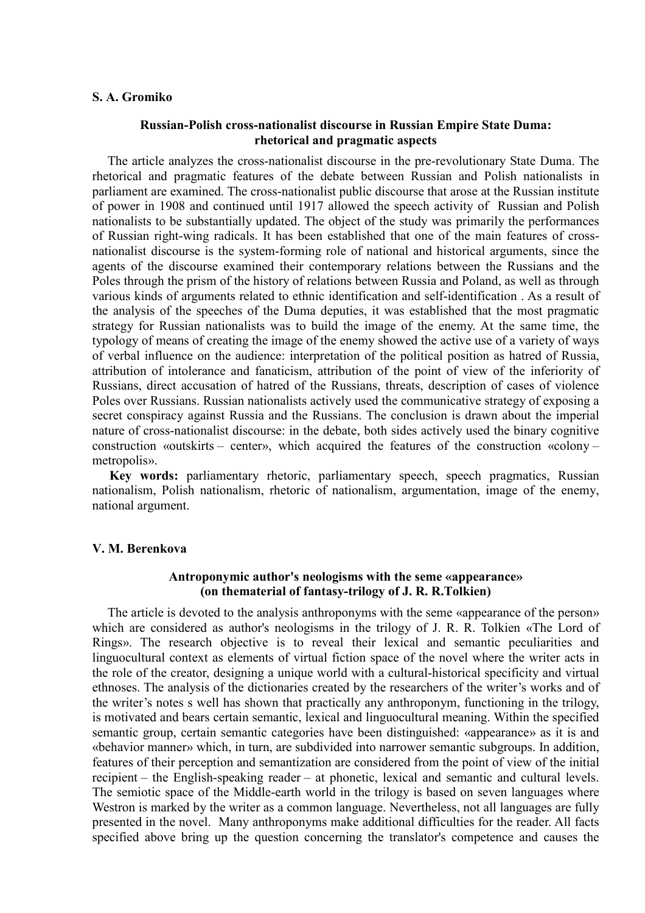### **S. A. Gromiko**

## **Russian-Polish cross-nationalist discourse in Russian Empire State Duma: rhetorical and pragmatic aspects**

The article analyzes the cross-nationalist discourse in the pre-revolutionary State Duma. The rhetorical and pragmatic features of the debate between Russian and Polish nationalists in parliament are examined. The cross-nationalist public discourse that arose at the Russian institute of power in 1908 and continued until 1917 allowed the speech activity of Russian and Polish nationalists to be substantially updated. The object of the study was primarily the performances of Russian right-wing radicals. It has been established that one of the main features of crossnationalist discourse is the system-forming role of national and historical arguments, since the agents of the discourse examined their contemporary relations between the Russians and the Poles through the prism of the history of relations between Russia and Poland, as well as through various kinds of arguments related to ethnic identification and self-identification . As a result of the analysis of the speeches of the Duma deputies, it was established that the most pragmatic strategy for Russian nationalists was to build the image of the enemy. At the same time, the typology of means of creating the image of the enemy showed the active use of a variety of ways of verbal influence on the audience: interpretation of the political position as hatred of Russia, attribution of intolerance and fanaticism, attribution of the point of view of the inferiority of Russians, direct accusation of hatred of the Russians, threats, description of cases of violence Poles over Russians. Russian nationalists actively used the communicative strategy of exposing a secret conspiracy against Russia and the Russians. The conclusion is drawn about the imperial nature of cross-nationalist discourse: in the debate, both sides actively used the binary cognitive construction «outskirts – center», which acquired the features of the construction «colony – metropolis».

**Key words:** parliamentary rhetoric, parliamentary speech, speech pragmatics, Russian nationalism, Polish nationalism, rhetoric of nationalism, argumentation, image of the enemy, national argument.

## **V. M. Berenkova**

# **Antroponymic author's neologisms with the seme «appearance» (on thematerial of fantasy-trilogy of J. R. R.Tolkien)**

The article is devoted to the analysis anthroponyms with the seme «appearance of the person» which are considered as author's neologisms in the trilogy of J. R. R. Tolkien «The Lord of Rings». The research objective is to reveal their lexical and semantic peculiarities and linguocultural context as elements of virtual fiction space of the novel where the writer acts in the role of the creator, designing a unique world with a cultural-historical specificity and virtual ethnoses. The analysis of the dictionaries created by the researchers of the writer's works and of the writer's notes s well has shown that practically any anthroponym, functioning in the trilogy, is motivated and bears certain semantic, lexical and linguocultural meaning. Within the specified semantic group, certain semantic categories have been distinguished: «appearance» as it is and «behavior manner» which, in turn, are subdivided into narrower semantic subgroups. In addition, features of their perception and semantization are considered from the point of view of the initial recipient – the English-speaking reader – at phonetic, lexical and semantic and cultural levels. The semiotic space of the Middle-earth world in the trilogy is based on seven languages where Westron is marked by the writer as a common language. Nevertheless, not all languages are fully presented in the novel. Many anthroponyms make additional difficulties for the reader. All facts specified above bring up the question concerning the translator's competence and causes the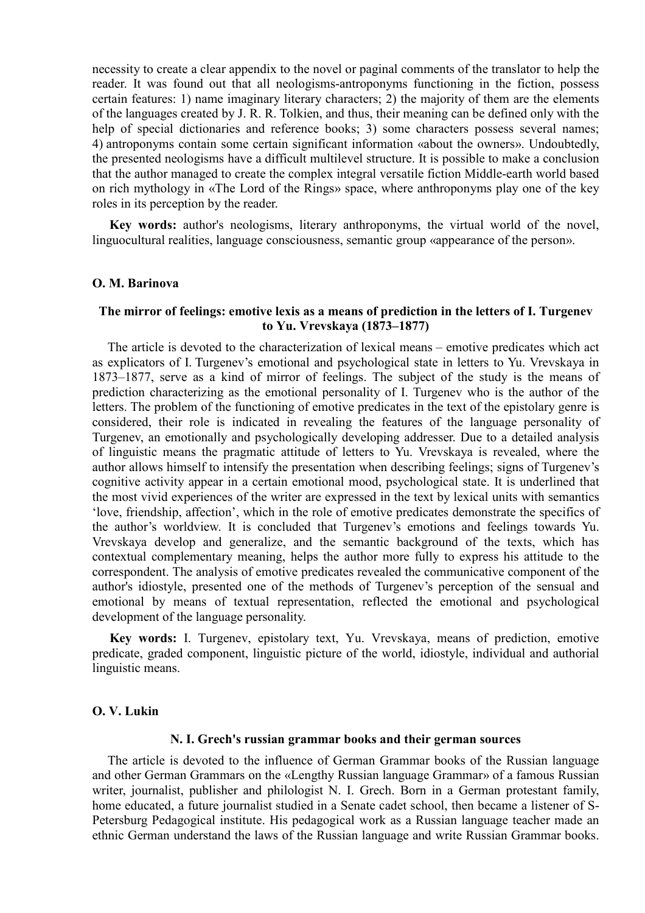necessity to create a clear appendix to the novel or paginal comments of the translator to help the reader. It was found out that all neologisms-antroponyms functioning in the fiction, possess certain features: 1) name imaginary literary characters; 2) the majority of them are the elements of the languages created by J. R. R. Tolkien, and thus, their meaning can be defined only with the help of special dictionaries and reference books; 3) some characters possess several names; 4) antroponyms contain some certain significant information «about the owners». Undoubtedly, the presented neologisms have a difficult multilevel structure. It is possible to make a conclusion that the author managed to create the complex integral versatile fiction Middle-earth world based on rich mythology in «The Lord of the Rings» space, where anthroponyms play one of the key roles in its perception by the reader.

**Key words:** author's neologisms, literary anthroponyms, the virtual world of the novel, linguocultural realities, language consciousness, semantic group «appearance of the person».

## **O. M. Barinova**

## **The mirror of feelings: emotive lexis as a means of prediction in the letters of I. Turgenev to Yu. Vrevskaya (1873–1877)**

The article is devoted to the characterization of lexical means – emotive predicates which act as explicators of I. Turgenev's emotional and psychological state in letters to Yu. Vrevskaya in 1873–1877, serve as a kind of mirror of feelings. The subject of the study is the means of prediction characterizing as the emotional personality of I. Turgenev who is the author of the letters. The problem of the functioning of emotive predicates in the text of the epistolary genre is considered, their role is indicated in revealing the features of the language personality of Turgenev, an emotionally and psychologically developing addresser. Due to a detailed analysis of linguistic means the pragmatic attitude of letters to Yu. Vrevskaya is revealed, where the author allows himself to intensify the presentation when describing feelings; signs of Turgenev's cognitive activity appear in a certain emotional mood, psychological state. It is underlined that the most vivid experiences of the writer are expressed in the text by lexical units with semantics 'love, friendship, affection', which in the role of emotive predicates demonstrate the specifics of the author's worldview. It is concluded that Turgenev's emotions and feelings towards Yu. Vrevskaya develop and generalize, and the semantic background of the texts, which has contextual complementary meaning, helps the author more fully to express his attitude to the correspondent. The analysis of emotive predicates revealed the communicative component of the author's idiostyle, presented one of the methods of Turgenev's perception of the sensual and emotional by means of textual representation, reflected the emotional and psychological development of the language personality.

**Key words:** I. Turgenev, epistolary text, Yu. Vrevskaya, means of prediction, emotive predicate, graded component, linguistic picture of the world, idiostyle, individual and authorial linguistic means.

## **O. V. Lukin**

#### **N. I. Grech's russian grammar books and their german sources**

The article is devoted to the influence of German Grammar books of the Russian language and other German Grammars on the «Lengthy Russian language Grammar» of a famous Russian writer, journalist, publisher and philologist N. I. Grech. Born in a German protestant family, home educated, a future journalist studied in a Senate cadet school, then became a listener of S-Petersburg Pedagogical institute. His pedagogical work as a Russian language teacher made an ethnic German understand the laws of the Russian language and write Russian Grammar books.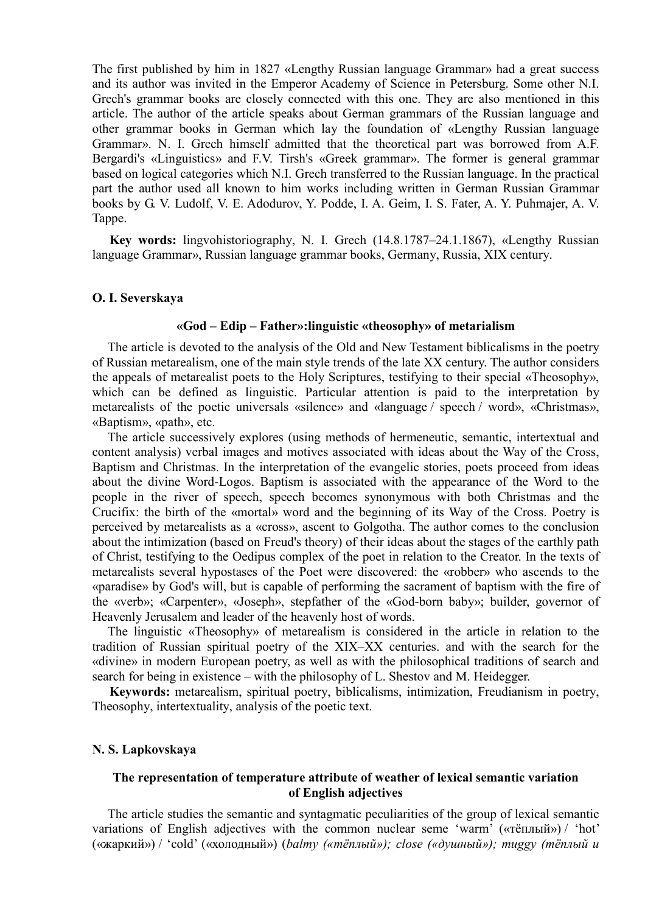The first published by him in 1827 «Lengthy Russian language Grammar» had a great success and its author was invited in the Emperor Academy of Science in Petersburg. Some other N.I. Grech's grammar books are closely connected with this one. They are also mentioned in this article. The author of the article speaks about German grammars of the Russian language and other grammar books in German which lay the foundation of «Lengthy Russian language Grammar». N. I. Grech himself admitted that the theoretical part was borrowed from A.F. Bergardi's «Linguistics» and F.V. Tirsh's «Greek grammar». The former is general grammar based on logical categories which N.I. Grech transferred to the Russian language. In the practical part the author used all known to him works including written in German Russian Grammar books by G. V. Ludolf, V. E. Adodurov, Y. Podde, I. A. Geim, I. S. Fater, A. Y. Puhmajer, A. V. Tappe.

**Key words:** lingvohistoriography, N. I. Grech (14.8.1787–24.1.1867), «Lengthy Russian language Grammar», Russian language grammar books, Germany, Russia, XIX century.

### **O. I. Severskaya**

#### **«God – Edip – Father»:linguistic «theosophy» of metarialism**

The article is devoted to the analysis of the Old and New Testament biblicalisms in the poetry of Russian metarealism, one of the main style trends of the late XX century. The author considers the appeals of metarealist poets to the Holy Scriptures, testifying to their special «Theosophy», which can be defined as linguistic. Particular attention is paid to the interpretation by metarealists of the poetic universals «silence» and «language / speech / word», «Christmas», «Baptism», «path», etc.

The article successively explores (using methods of hermeneutic, semantic, intertextual and content analysis) verbal images and motives associated with ideas about the Way of the Cross, Baptism and Christmas. In the interpretation of the evangelic stories, poets proceed from ideas about the divine Word-Logos. Baptism is associated with the appearance of the Word to the people in the river of speech, speech becomes synonymous with both Christmas and the Crucifix: the birth of the «mortal» word and the beginning of its Way of the Cross. Poetry is perceived by metarealists as a «cross», ascent to Golgotha. The author comes to the conclusion about the intimization (based on Freud's theory) of their ideas about the stages of the earthly path of Christ, testifying to the Oedipus complex of the poet in relation to the Creator. In the texts of metarealists several hypostases of the Poet were discovered: the «robber» who ascends to the «paradise» by God's will, but is capable of performing the sacrament of baptism with the fire of the «verb»; «Carpenter», «Joseph», stepfather of the «God-born baby»; builder, governor of Heavenly Jerusalem and leader of the heavenly host of words.

The linguistic «Theosophy» of metarealism is considered in the article in relation to the tradition of Russian spiritual poetry of the XIX–XX centuries. and with the search for the «divine» in modern European poetry, as well as with the philosophical traditions of search and search for being in existence – with the philosophy of L. Shestov and M. Heidegger.

**Keywords:** metarealism, spiritual poetry, biblicalisms, intimization, Freudianism in poetry, Theosophy, intertextuality, analysis of the poetic text.

## **N. S. Lapkovskaya**

# **The representation of temperature attribute of weather of lexical semantic variation of English adjectives**

The article studies the semantic and syntagmatic peculiarities of the group of lexical semantic variations of English adjectives with the common nuclear seme 'warm' («тёплый») / 'hot' («жаркий») / 'cold' («холодный») (*balmy («тёплый»); close («душный»); muggy (тёплый и*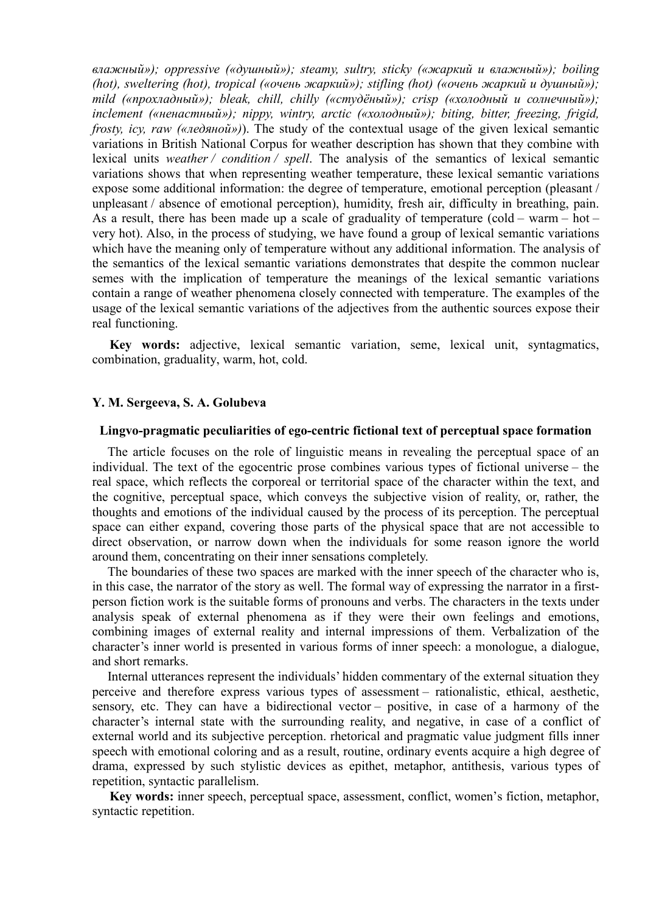*влажный»); oppressive («душный»); steamy, sultry, sticky («жаркий и влажный»); boiling (hot), sweltering (hot), tropical («очень жаркий»); stifling (hot) («очень жаркий и душный»); mild («прохладный»); bleak, chill, chilly («студёный»); crisp («холодный и солнечный»); inclement («ненастный»); nippy, wintry, arctic («холодный»); biting, bitter, freezing, frigid, frosty, icy, raw («ледяной»)*). The study of the contextual usage of the given lexical semantic variations in British National Corpus for weather description has shown that they combine with lexical units *weather / condition / spell*. The analysis of the semantics of lexical semantic variations shows that when representing weather temperature, these lexical semantic variations expose some additional information: the degree of temperature, emotional perception (pleasant / unpleasant / absence of emotional perception), humidity, fresh air, difficulty in breathing, pain. As a result, there has been made up a scale of graduality of temperature (cold – warm – hot – very hot). Also, in the process of studying, we have found a group of lexical semantic variations which have the meaning only of temperature without any additional information. The analysis of the semantics of the lexical semantic variations demonstrates that despite the common nuclear semes with the implication of temperature the meanings of the lexical semantic variations contain a range of weather phenomena closely connected with temperature. The examples of the usage of the lexical semantic variations of the adjectives from the authentic sources expose their real functioning.

**Key words:** adjective, lexical semantic variation, seme, lexical unit, syntagmatics, combination, graduality, warm, hot, cold.

## **Y. M. Sergeeva, S. A. Golubeva**

### **Lingvo-pragmatic peculiarities of ego-centric fictional text of perceptual space formation**

The article focuses on the role of linguistic means in revealing the perceptual space of an individual. The text of the egocentric prose combines various types of fictional universe – the real space, which reflects the corporeal or territorial space of the character within the text, and the cognitive, perceptual space, which conveys the subjective vision of reality, or, rather, the thoughts and emotions of the individual caused by the process of its perception. The perceptual space can either expand, covering those parts of the physical space that are not accessible to direct observation, or narrow down when the individuals for some reason ignore the world around them, concentrating on their inner sensations completely.

The boundaries of these two spaces are marked with the inner speech of the character who is, in this case, the narrator of the story as well. The formal way of expressing the narrator in a firstperson fiction work is the suitable forms of pronouns and verbs. The characters in the texts under analysis speak of external phenomena as if they were their own feelings and emotions, combining images of external reality and internal impressions of them. Verbalization of the character's inner world is presented in various forms of inner speech: a monologue, a dialogue, and short remarks.

Internal utterances represent the individuals' hidden commentary of the external situation they perceive and therefore express various types of assessment – rationalistic, ethical, aesthetic, sensory, etc. They can have a bidirectional vector – positive, in case of a harmony of the character's internal state with the surrounding reality, and negative, in case of a conflict of external world and its subjective perception. rhetorical and pragmatic value judgment fills inner speech with emotional coloring and as a result, routine, ordinary events acquire a high degree of drama, expressed by such stylistic devices as epithet, metaphor, antithesis, various types of repetition, syntactic parallelism.

**Key words:** inner speech, perceptual space, assessment, conflict, women's fiction, metaphor, syntactic repetition.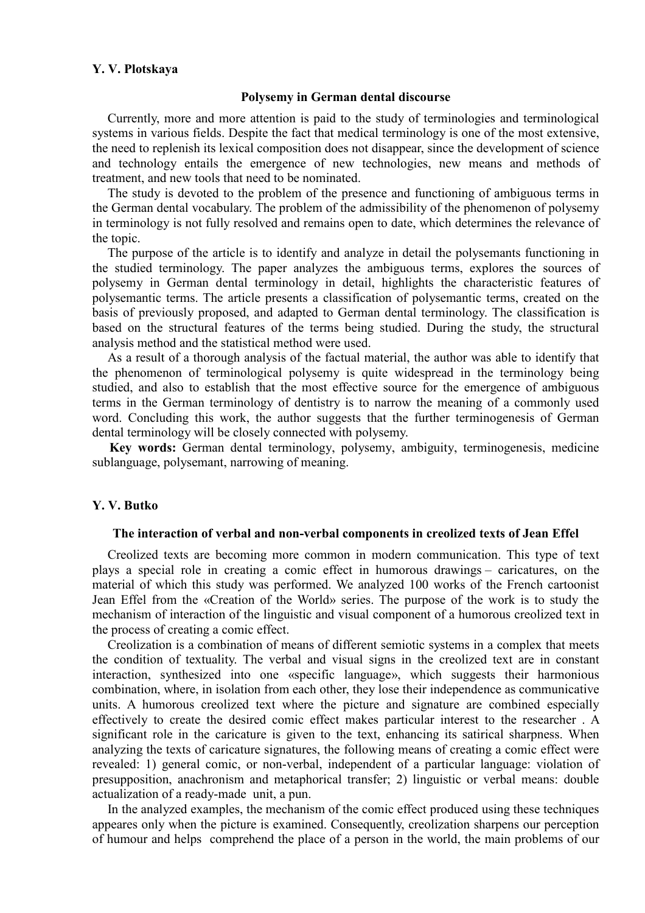## **Y. V. Plotskaya**

### **Polysemy in German dental discourse**

Currently, more and more attention is paid to the study of terminologies and terminological systems in various fields. Despite the fact that medical terminology is one of the most extensive, the need to replenish its lexical composition does not disappear, since the development of science and technology entails the emergence of new technologies, new means and methods of treatment, and new tools that need to be nominated.

The study is devoted to the problem of the presence and functioning of ambiguous terms in the German dental vocabulary. The problem of the admissibility of the phenomenon of polysemy in terminology is not fully resolved and remains open to date, which determines the relevance of the topic.

The purpose of the article is to identify and analyze in detail the polysemants functioning in the studied terminology. The paper analyzes the ambiguous terms, explores the sources of polysemy in German dental terminology in detail, highlights the characteristic features of polysemantic terms. The article presents a classification of polysemantic terms, created on the basis of previously proposed, and adapted to German dental terminology. The classification is based on the structural features of the terms being studied. During the study, the structural analysis method and the statistical method were used.

As a result of a thorough analysis of the factual material, the author was able to identify that the phenomenon of terminological polysemy is quite widespread in the terminology being studied, and also to establish that the most effective source for the emergence of ambiguous terms in the German terminology of dentistry is to narrow the meaning of a commonly used word. Concluding this work, the author suggests that the further terminogenesis of German dental terminology will be closely connected with polysemy.

**Key words:** German dental terminology, polysemy, ambiguity, terminogenesis, medicine sublanguage, polysemant, narrowing of meaning.

## **Y. V. Butko**

#### **The interaction of verbal and non-verbal components in creolized texts of Jean Effel**

Creolized texts are becoming more common in modern communication. This type of text plays a special role in creating a comic effect in humorous drawings – caricatures, on the material of which this study was performed. We analyzed 100 works of the French cartoonist Jean Effel from the «Creation of the World» series. The purpose of the work is to study the mechanism of interaction of the linguistic and visual component of a humorous creolized text in the process of creating a comic effect.

Creolization is a combination of means of different semiotic systems in a complex that meets the condition of textuality. The verbal and visual signs in the creolized text are in constant interaction, synthesized into one «specific language», which suggests their harmonious combination, where, in isolation from each other, they lose their independence as communicative units. A humorous creolized text where the picture and signature are combined especially effectively to create the desired comic effect makes particular interest to the researcher . A significant role in the caricature is given to the text, enhancing its satirical sharpness. When analyzing the texts of caricature signatures, the following means of creating a comic effect were revealed: 1) general comic, or non-verbal, independent of a particular language: violation of presupposition, anachronism and metaphorical transfer; 2) linguistic or verbal means: double actualization of a ready-made unit, a pun.

In the analyzed examples, the mechanism of the comic effect produced using these techniques appeares only when the picture is examined. Consequently, creolization sharpens our perception of humour and helps comprehend the place of a person in the world, the main problems of our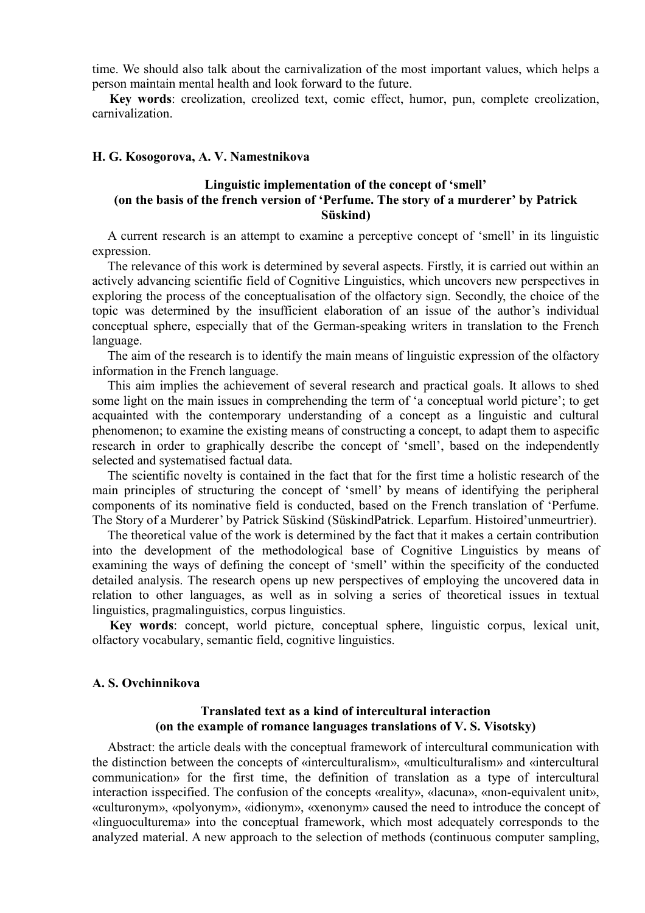time. We should also talk about the carnivalization of the most important values, which helps a person maintain mental health and look forward to the future.

**Key words**: creolization, creolized text, comic effect, humor, pun, complete creolization, carnivalization.

## **H. G. Kosogorova, A. V. Namestnikova**

# **Linguistic implementation of the concept of 'smell' (on the basis of the french version of 'Perfume. The story of a murderer' by Patrick Süskind)**

A current research is an attempt to examine a perceptive concept of 'smell' in its linguistic expression.

The relevance of this work is determined by several aspects. Firstly, it is carried out within an actively advancing scientific field of Cognitive Linguistics, which uncovers new perspectives in exploring the process of the conceptualisation of the olfactory sign. Secondly, the choice of the topic was determined by the insufficient elaboration of an issue of the author's individual conceptual sphere, especially that of the German-speaking writers in translation to the French language.

The aim of the research is to identify the main means of linguistic expression of the olfactory information in the French language.

This aim implies the achievement of several research and practical goals. It allows to shed some light on the main issues in comprehending the term of 'a conceptual world picture'; to get acquainted with the contemporary understanding of a concept as a linguistic and cultural phenomenon; to examine the existing means of constructing a concept, to adapt them to aspecific research in order to graphically describe the concept of 'smell', based on the independently selected and systematised factual data.

The scientific novelty is contained in the fact that for the first time a holistic research of the main principles of structuring the concept of 'smell' by means of identifying the peripheral components of its nominative field is conducted, based on the French translation of 'Perfume. The Story of a Murderer' by Patrick Süskind (SüskindPatrick. Leparfum. Histoired'unmeurtrier).

The theoretical value of the work is determined by the fact that it makes a certain contribution into the development of the methodological base of Cognitive Linguistics by means of examining the ways of defining the concept of 'smell' within the specificity of the conducted detailed analysis. The research opens up new perspectives of employing the uncovered data in relation to other languages, as well as in solving a series of theoretical issues in textual linguistics, pragmalinguistics, corpus linguistics.

**Key words**: concept, world picture, conceptual sphere, linguistic corpus, lexical unit, olfactory vocabulary, semantic field, cognitive linguistics.

# **A. S. Ovchinnikova**

# **Translated text as a kind of intercultural interaction (on the example of romance languages translations of V. S. Visotsky)**

Abstract: the article deals with the conceptual framework of intercultural communication with the distinction between the concepts of «interculturalism», «multiculturalism» and «intercultural communication» for the first time, the definition of translation as a type of intercultural interaction isspecified. The confusion of the concepts «reality», «lacuna», «non-equivalent unit», «culturonym», «polyonym», «idionym», «xenonym» caused the need to introduce the concept of «linguoculturema» into the conceptual framework, which most adequately corresponds to the analyzed material. A new approach to the selection of methods (continuous computer sampling,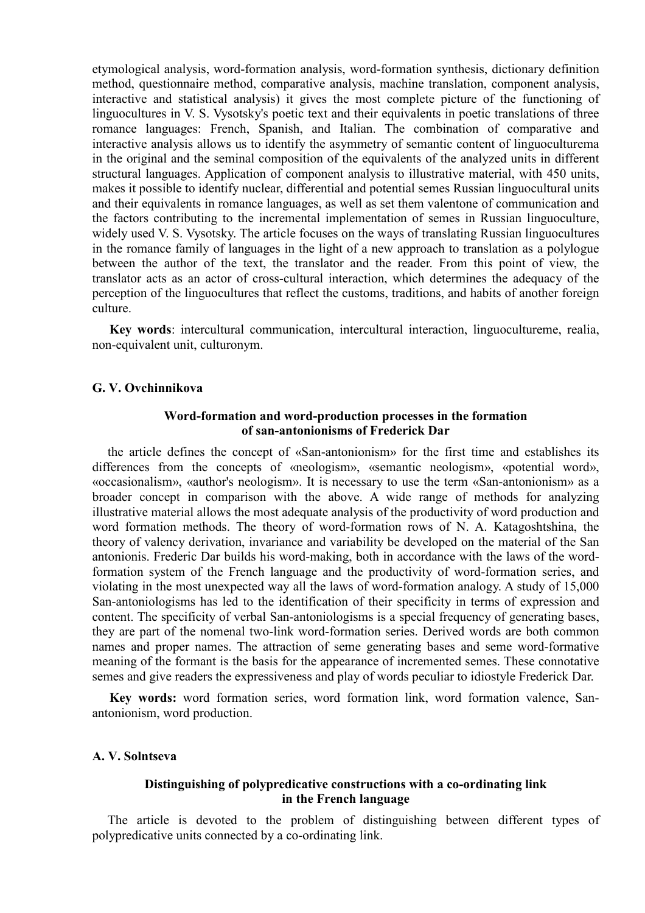etymological analysis, word-formation analysis, word-formation synthesis, dictionary definition method, questionnaire method, comparative analysis, machine translation, component analysis, interactive and statistical analysis) it gives the most complete picture of the functioning of linguocultures in V. S. Vysotsky's poetic text and their equivalents in poetic translations of three romance languages: French, Spanish, and Italian. The combination of comparative and interactive analysis allows us to identify the asymmetry of semantic content of linguoculturema in the original and the seminal composition of the equivalents of the analyzed units in different structural languages. Application of component analysis to illustrative material, with 450 units, makes it possible to identify nuclear, differential and potential semes Russian linguocultural units and their equivalents in romance languages, as well as set them valentone of communication and the factors contributing to the incremental implementation of semes in Russian linguoculture, widely used V. S. Vysotsky. The article focuses on the ways of translating Russian linguocultures in the romance family of languages in the light of a new approach to translation as a polylogue between the author of the text, the translator and the reader. From this point of view, the translator acts as an actor of cross-cultural interaction, which determines the adequacy of the perception of the linguocultures that reflect the customs, traditions, and habits of another foreign culture.

**Key words**: intercultural communication, intercultural interaction, linguocultureme, realia, non-equivalent unit, culturonym.

# **G. V. Ovchinnikova**

## **Word-formation and word-production processes in the formation of san-antonionisms of Frederick Dar**

the article defines the concept of «San-antonionism» for the first time and establishes its differences from the concepts of «neologism», «semantic neologism», «potential word», «occasionalism», «author's neologism». It is necessary to use the term «San-antonionism» as a broader concept in comparison with the above. A wide range of methods for analyzing illustrative material allows the most adequate analysis of the productivity of word production and word formation methods. The theory of word-formation rows of N. A. Katagoshtshina, the theory of valency derivation, invariance and variability be developed on the material of the San antonionis. Frederic Dar builds his word-making, both in accordance with the laws of the wordformation system of the French language and the productivity of word-formation series, and violating in the most unexpected way all the laws of word-formation analogy. A study of 15,000 San-antoniologisms has led to the identification of their specificity in terms of expression and content. The specificity of verbal San-antoniologisms is a special frequency of generating bases, they are part of the nomenal two-link word-formation series. Derived words are both common names and proper names. The attraction of seme generating bases and seme word-formative meaning of the formant is the basis for the appearance of incremented semes. These connotative semes and give readers the expressiveness and play of words peculiar to idiostyle Frederick Dar.

**Key words:** word formation series, word formation link, word formation valence, Sanantonionism, word production.

# **A. V. Solntseva**

# **Distinguishing of polypredicative constructions with a co-ordinating link in the French language**

The article is devoted to the problem of distinguishing between different types of polypredicative units connected by a co-ordinating link.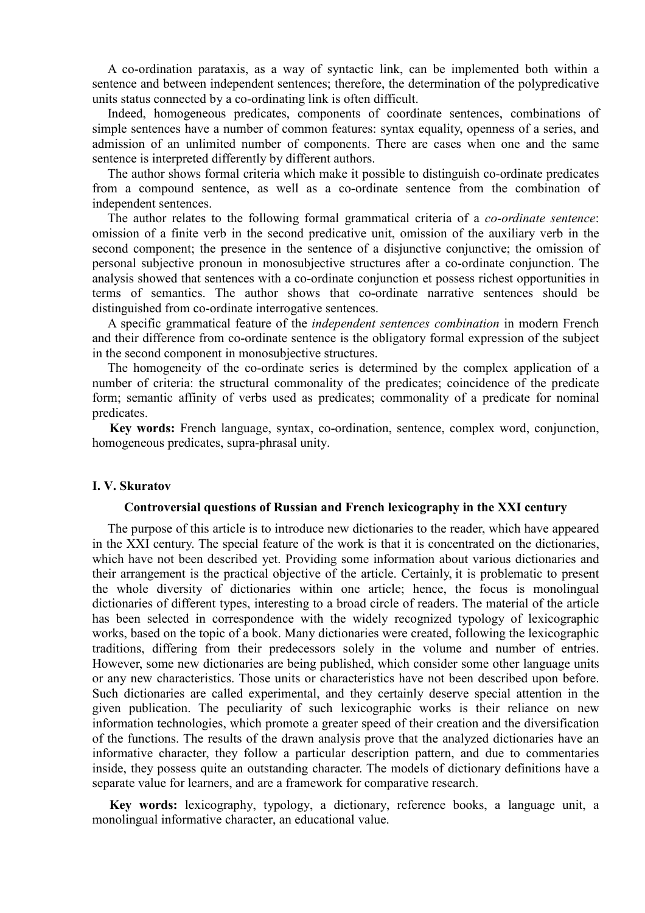A co-ordination parataxis, as a way of syntactic link, can be implemented both within a sentence and between independent sentences; therefore, the determination of the polypredicative units status connected by a co-ordinating link is often difficult.

Indeed, homogeneous predicates, components of coordinate sentences, combinations of simple sentences have a number of common features: syntax equality, openness of a series, and admission of an unlimited number of components. There are cases when one and the same sentence is interpreted differently by different authors.

The author shows formal criteria which make it possible to distinguish co-ordinate predicates from a compound sentence, as well as a co-ordinate sentence from the combination of independent sentences.

The author relates to the following formal grammatical criteria of a *co-ordinate sentence*: omission of a finite verb in the second predicative unit, omission of the auxiliary verb in the second component; the presence in the sentence of a disjunctive conjunctive; the omission of personal subjective pronoun in monosubjective structures after a co-ordinate conjunction. The analysis showed that sentences with a co-ordinate conjunction et possess richest opportunities in terms of semantics. The author shows that co-ordinate narrative sentences should be distinguished from co-ordinate interrogative sentences.

A specific grammatical feature of the *independent sentences combination* in modern French and their difference from co-ordinate sentence is the obligatory formal expression of the subject in the second component in monosubjective structures.

The homogeneity of the co-ordinate series is determined by the complex application of a number of criteria: the structural commonality of the predicates; coincidence of the predicate form; semantic affinity of verbs used as predicates; commonality of a predicate for nominal predicates.

**Key words:** French language, syntax, co-ordination, sentence, complex word, conjunction, homogeneous predicates, supra-phrasal unity.

## **I. V. Skuratov**

## **Controversial questions of Russian and French lexicography in the XXI century**

The purpose of this article is to introduce new dictionaries to the reader, which have appeared in the XXI century. The special feature of the work is that it is concentrated on the dictionaries, which have not been described yet. Providing some information about various dictionaries and their arrangement is the practical objective of the article. Certainly, it is problematic to present the whole diversity of dictionaries within one article; hence, the focus is monolingual dictionaries of different types, interesting to a broad circle of readers. The material of the article has been selected in correspondence with the widely recognized typology of lexicographic works, based on the topic of a book. Many dictionaries were created, following the lexicographic traditions, differing from their predecessors solely in the volume and number of entries. However, some new dictionaries are being published, which consider some other language units or any new characteristics. Those units or characteristics have not been described upon before. Such dictionaries are called experimental, and they certainly deserve special attention in the given publication. The peculiarity of such lexicographic works is their reliance on new information technologies, which promote a greater speed of their creation and the diversification of the functions. The results of the drawn analysis prove that the analyzed dictionaries have an informative character, they follow a particular description pattern, and due to commentaries inside, they possess quite an outstanding character. The models of dictionary definitions have a separate value for learners, and are a framework for comparative research.

**Key words:** lexicography, typology, a dictionary, reference books, a language unit, a monolingual informative character, an educational value.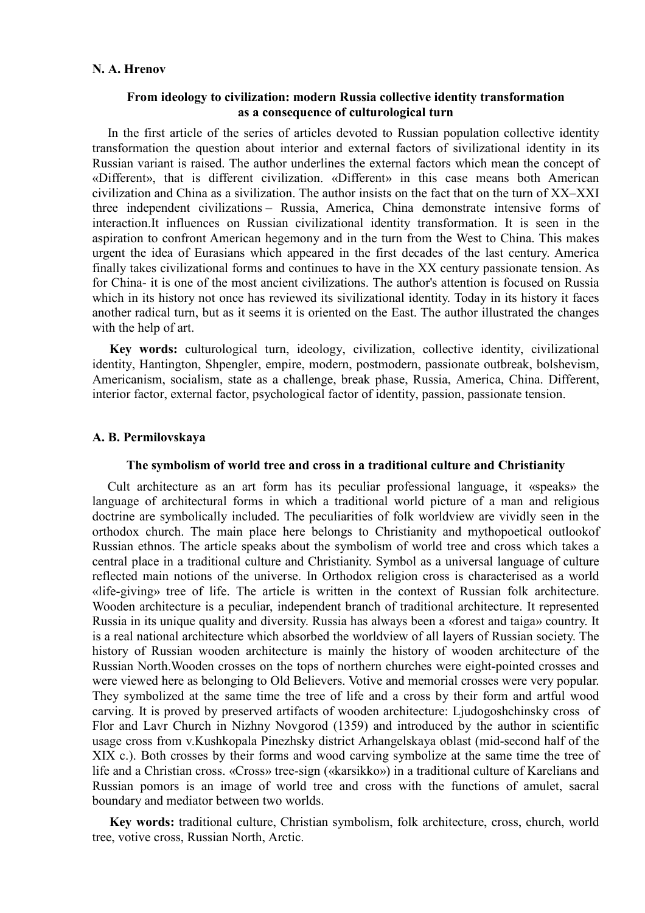## **N. A. Hrenov**

## **From ideology to civilization: modern Russia collective identity transformation as a consequence of culturological turn**

In the first article of the series of articles devoted to Russian population collective identity transformation the question about interior and external factors of sivilizational identity in its Russian variant is raised. The author underlines the external factors which mean the concept of «Different», that is different civilization. «Different» in this case means both American civilization and China as a sivilization. The author insists on the fact that on the turn of XX–XXI three independent civilizations – Russia, America, China demonstrate intensive forms of interaction.It influences on Russian civilizational identity transformation. It is seen in the aspiration to confront American hegemony and in the turn from the West to China. This makes urgent the idea of Eurasians which appeared in the first decades of the last century. America finally takes civilizational forms and continues to have in the XX century passionate tension. As for China- it is one of the most ancient civilizations. The author's attention is focused on Russia which in its history not once has reviewed its sivilizational identity. Today in its history it faces another radical turn, but as it seems it is oriented on the East. The author illustrated the changes with the help of art.

**Key words:** culturological turn, ideology, civilization, collective identity, civilizational identity, Hantington, Shpengler, empire, modern, postmodern, passionate outbreak, bolshevism, Americanism, socialism, state as a challenge, break phase, Russia, America, China. Different, interior factor, external factor, psychological factor of identity, passion, passionate tension.

## **A. B. Permilovskaya**

## **The symbolism of world tree and cross in a traditional culture and Christianity**

Cult architecture as an art form has its peculiar professional language, it «speaks» the language of architectural forms in which a traditional world picture of a man and religious doctrine are symbolically included. The peculiarities of folk worldview are vividly seen in the orthodox church. The main place here belongs to Christianity and mythopoetical outlookof Russian ethnos. The article speaks about the symbolism of world tree and cross which takes a central place in a traditional culture and Christianity. Symbol as a universal language of culture reflected main notions of the universe. In Orthodox religion cross is characterised as a world «life-giving» tree of life. The article is written in the context of Russian folk architecture. Wooden architecture is a peculiar, independent branch of traditional architecture. It represented Russia in its unique quality and diversity. Russia has always been a «forest and taiga» country. It is a real national architecture which absorbed the worldview of all layers of Russian society. The history of Russian wooden architecture is mainly the history of wooden architecture of the Russian North.Wooden crosses on the tops of northern churches were eight-pointed crosses and were viewed here as belonging to Old Believers. Votive and memorial crosses were very popular. They symbolized at the same time the tree of life and a cross by their form and artful wood carving. It is proved by preserved artifacts of wooden architecture: Ljudogoshchinsky cross of Flor and Lavr Church in Nizhny Novgorod (1359) and introduced by the author in scientific usage cross from v.Kushkopala Pinezhsky district Arhangelskaya oblast (mid-second half of the XIX c.). Both crosses by their forms and wood carving symbolize at the same time the tree of life and a Christian cross. «Cross» tree-sign («karsikko») in a traditional culture of Karelians and Russian pomors is an image of world tree and cross with the functions of amulet, sacral boundary and mediator between two worlds.

**Key words:** traditional culture, Christian symbolism, folk architecture, cross, church, world tree, votive cross, Russian North, Arctic.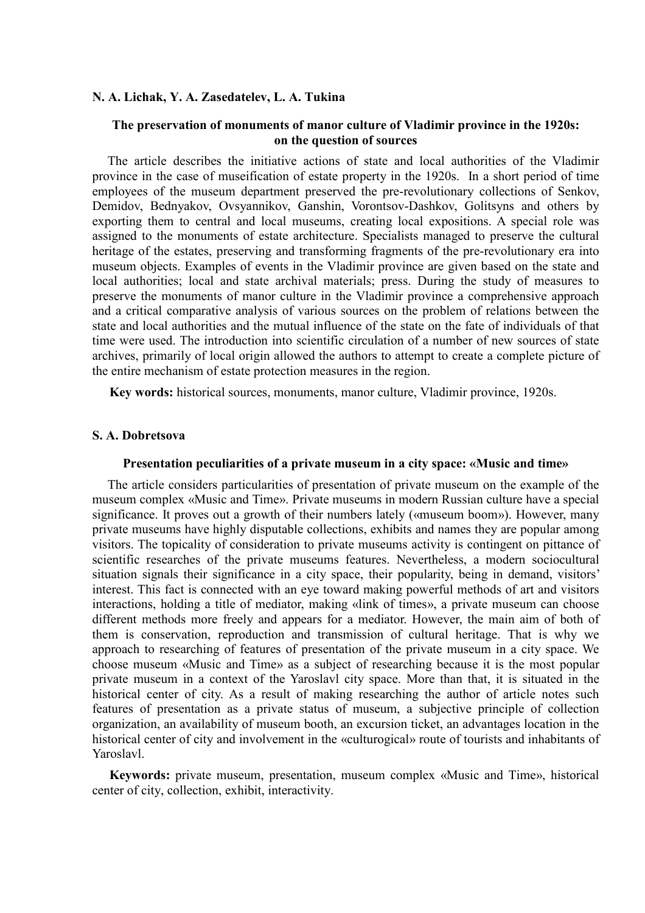## **N. A. Lichak, Y. A. Zasedatelev, L. A. Tukina**

# **The preservation of monuments of manor culture of Vladimir province in the 1920s: on the question of sources**

The article describes the initiative actions of state and local authorities of the Vladimir province in the case of museification of estate property in the 1920s. In a short period of time employees of the museum department preserved the pre-revolutionary collections of Senkov, Demidov, Bednyakov, Ovsyannikov, Ganshin, Vorontsov-Dashkov, Golitsyns and others by exporting them to сentral and local museums, creating local expositions. A special role was assigned to the monuments of estate architecture. Specialists managed to preserve the cultural heritage of the estates, preserving and transforming fragments of the pre-revolutionary era into museum objects. Examples of events in the Vladimir province are given based on the state and local authorities; local and state archival materials; press. During the study of measures to preserve the monuments of manor culture in the Vladimir province a comprehensive approach and a critical comparative analysis of various sources on the problem of relations between the state and local authorities and the mutual influence of the state on the fate of individuals of that time were used. The introduction into scientific circulation of a number of new sources of state archives, primarily of local origin allowed the authors to attempt to create a complete picture of the entire mechanism of estate protection measures in the region.

**Key words:** historical sources, monuments, manor culture, Vladimir province, 1920s.

## **S. A. Dobretsova**

### **Presentation peculiarities of a private museum in a city space: «Music and time»**

The article considers particularities of presentation of private museum on the example of the museum complex «Music and Time». Private museums in modern Russian culture have a special significance. It proves out a growth of their numbers lately («museum boom»). However, many private museums have highly disputable collections, exhibits and names they are popular among visitors. The topicality of consideration to private museums activity is contingent on pittance of scientific researches of the private museums features. Nevertheless, a modern sociocultural situation signals their significance in a city space, their popularity, being in demand, visitors' interest. This fact is connected with an eye toward making powerful methods of art and visitors interactions, holding a title of mediator, making «link of times», a private museum can choose different methods more freely and appears for a mediator. However, the main aim of both of them is conservation, reproduction and transmission of cultural heritage. That is why we approach to researching of features of presentation of the private museum in a city space. We choose museum «Music and Time» as a subject of researching because it is the most popular private museum in a context of the Yaroslavl city space. More than that, it is situated in the historical center of city. As a result of making researching the author of article notes such features of presentation as a private status of museum, a subjective principle of collection organization, an availability of museum booth, an excursion ticket, an advantages location in the historical center of city and involvement in the «culturogical» route of tourists and inhabitants of Yaroslavl.

**Keywords:** private museum, presentation, museum complex «Music and Time», historical center of city, collection, exhibit, interactivity.